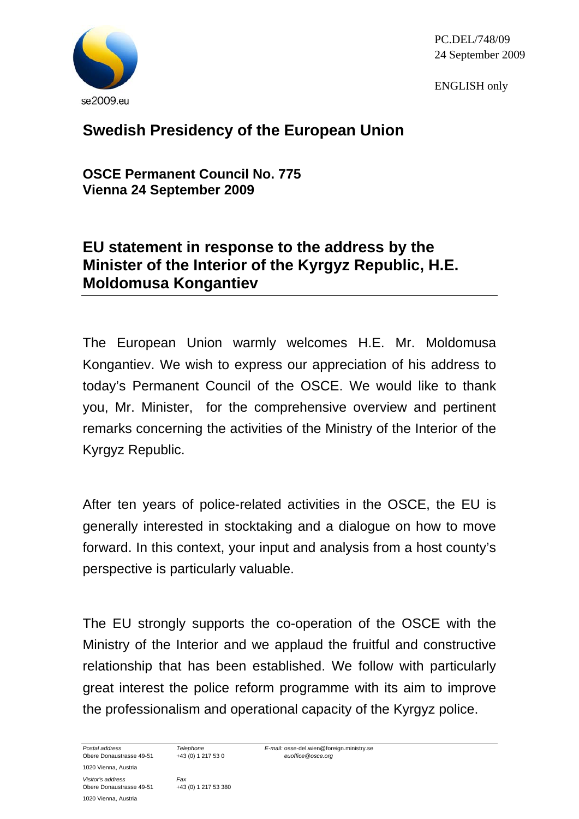

PC.DEL/748/09 24 September 2009

ENGLISH only

## **Swedish Presidency of the European Union**

**OSCE Permanent Council No. 775 Vienna 24 September 2009** 

## **EU statement in response to the address by the Minister of the Interior of the Kyrgyz Republic, H.E. Moldomusa Kongantiev**

The European Union warmly welcomes H.E. Mr. Moldomusa Kongantiev. We wish to express our appreciation of his address to today's Permanent Council of the OSCE. We would like to thank you, Mr. Minister, for the comprehensive overview and pertinent remarks concerning the activities of the Ministry of the Interior of the Kyrgyz Republic.

After ten years of police-related activities in the OSCE, the EU is generally interested in stocktaking and a dialogue on how to move forward. In this context, your input and analysis from a host county's perspective is particularly valuable.

The EU strongly supports the co-operation of the OSCE with the Ministry of the Interior and we applaud the fruitful and constructive relationship that has been established. We follow with particularly great interest the police reform programme with its aim to improve the professionalism and operational capacity of the Kyrgyz police.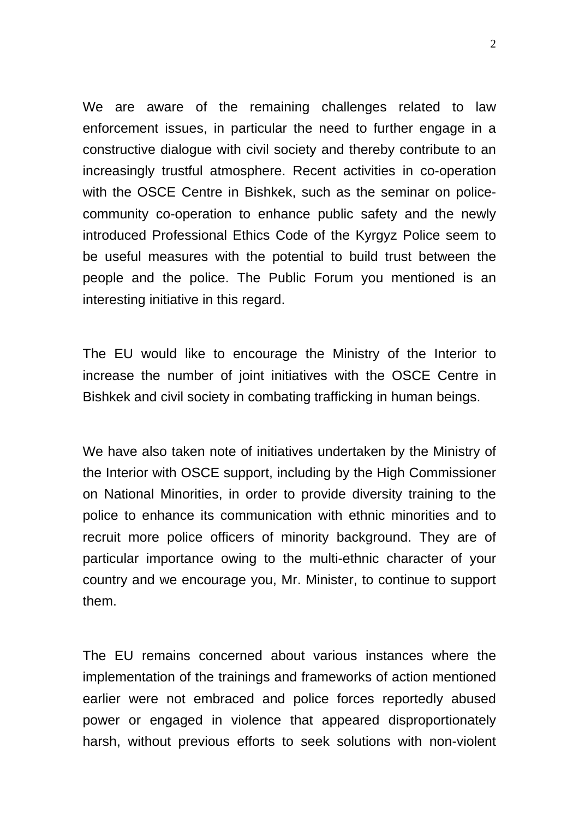We are aware of the remaining challenges related to law enforcement issues, in particular the need to further engage in a constructive dialogue with civil society and thereby contribute to an increasingly trustful atmosphere. Recent activities in co-operation with the OSCE Centre in Bishkek, such as the seminar on policecommunity co-operation to enhance public safety and the newly introduced Professional Ethics Code of the Kyrgyz Police seem to be useful measures with the potential to build trust between the people and the police. The Public Forum you mentioned is an interesting initiative in this regard.

The EU would like to encourage the Ministry of the Interior to increase the number of joint initiatives with the OSCE Centre in Bishkek and civil society in combating trafficking in human beings.

We have also taken note of initiatives undertaken by the Ministry of the Interior with OSCE support, including by the High Commissioner on National Minorities, in order to provide diversity training to the police to enhance its communication with ethnic minorities and to recruit more police officers of minority background. They are of particular importance owing to the multi-ethnic character of your country and we encourage you, Mr. Minister, to continue to support them.

The EU remains concerned about various instances where the implementation of the trainings and frameworks of action mentioned earlier were not embraced and police forces reportedly abused power or engaged in violence that appeared disproportionately harsh, without previous efforts to seek solutions with non-violent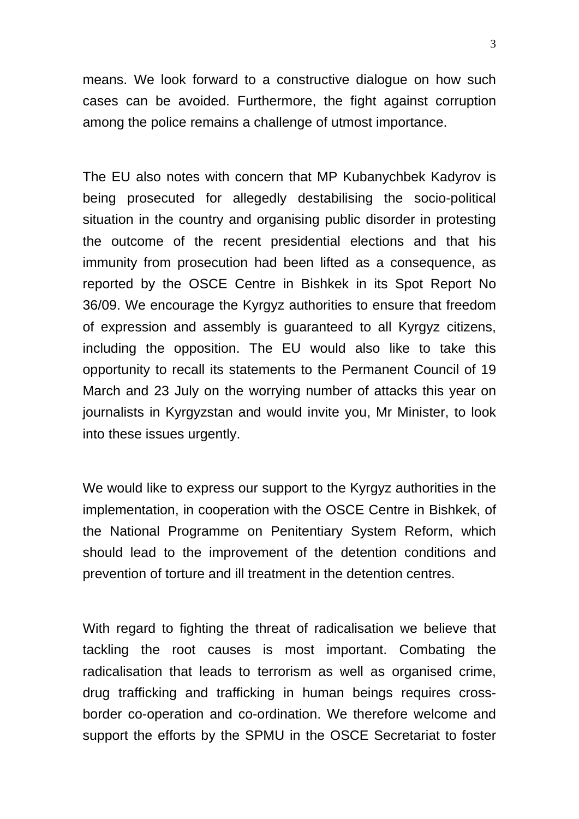means. We look forward to a constructive dialogue on how such cases can be avoided. Furthermore, the fight against corruption among the police remains a challenge of utmost importance.

The EU also notes with concern that MP Kubanychbek Kadyrov is being prosecuted for allegedly destabilising the socio-political situation in the country and organising public disorder in protesting the outcome of the recent presidential elections and that his immunity from prosecution had been lifted as a consequence, as reported by the OSCE Centre in Bishkek in its Spot Report No 36/09. We encourage the Kyrgyz authorities to ensure that freedom of expression and assembly is guaranteed to all Kyrgyz citizens, including the opposition. The EU would also like to take this opportunity to recall its statements to the Permanent Council of 19 March and 23 July on the worrying number of attacks this year on journalists in Kyrgyzstan and would invite you, Mr Minister, to look into these issues urgently.

We would like to express our support to the Kyrgyz authorities in the implementation, in cooperation with the OSCE Centre in Bishkek, of the National Programme on Penitentiary System Reform, which should lead to the improvement of the detention conditions and prevention of torture and ill treatment in the detention centres.

With regard to fighting the threat of radicalisation we believe that tackling the root causes is most important. Combating the radicalisation that leads to terrorism as well as organised crime, drug trafficking and trafficking in human beings requires crossborder co-operation and co-ordination. We therefore welcome and support the efforts by the SPMU in the OSCE Secretariat to foster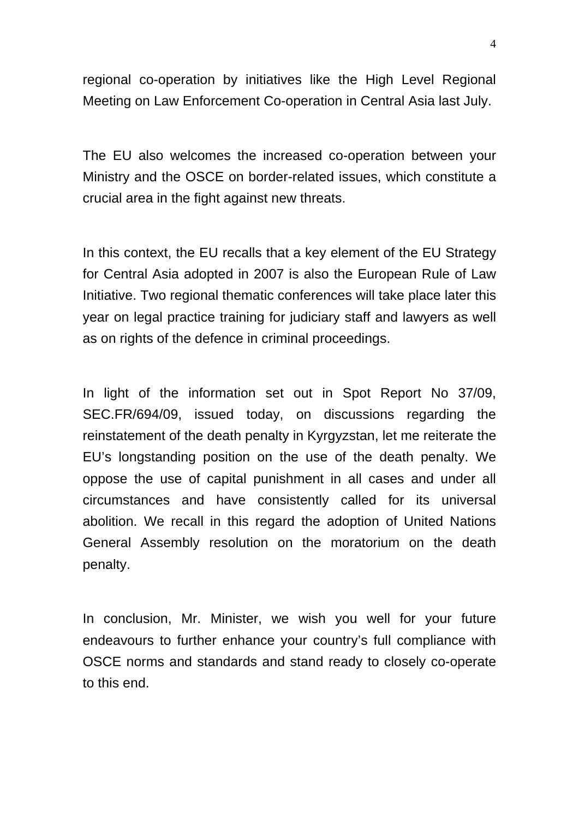regional co-operation by initiatives like the High Level Regional Meeting on Law Enforcement Co-operation in Central Asia last July.

The EU also welcomes the increased co-operation between your Ministry and the OSCE on border-related issues, which constitute a crucial area in the fight against new threats.

In this context, the EU recalls that a key element of the EU Strategy for Central Asia adopted in 2007 is also the European Rule of Law Initiative. Two regional thematic conferences will take place later this year on legal practice training for judiciary staff and lawyers as well as on rights of the defence in criminal proceedings.

In light of the information set out in Spot Report No 37/09, SEC.FR/694/09, issued today, on discussions regarding the reinstatement of the death penalty in Kyrgyzstan, let me reiterate the EU's longstanding position on the use of the death penalty. We oppose the use of capital punishment in all cases and under all circumstances and have consistently called for its universal abolition. We recall in this regard the adoption of United Nations General Assembly resolution on the moratorium on the death penalty.

In conclusion, Mr. Minister, we wish you well for your future endeavours to further enhance your country's full compliance with OSCE norms and standards and stand ready to closely co-operate to this end.